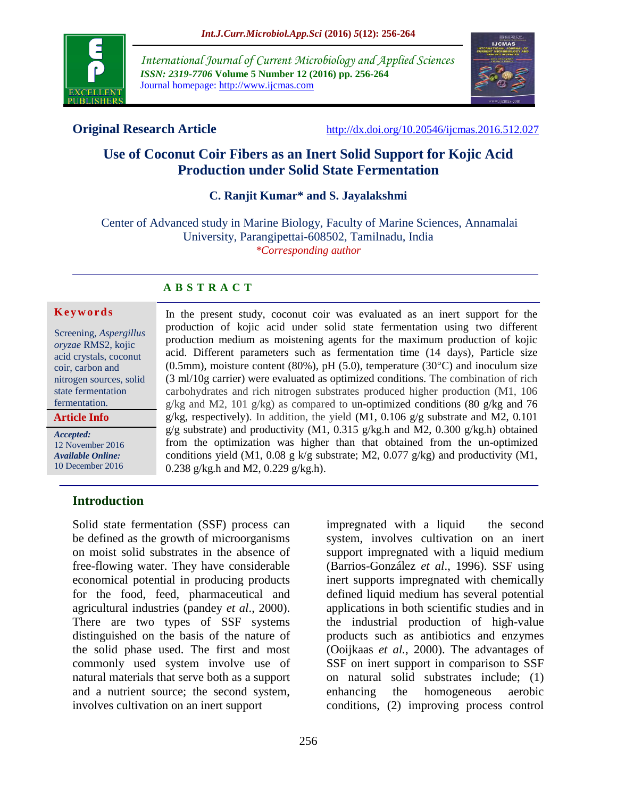

*International Journal of Current Microbiology and Applied Sciences ISSN: 2319-7706* **Volume 5 Number 12 (2016) pp. 256-264** Journal homepage: http://www.ijcmas.com



**Original Research Article** <http://dx.doi.org/10.20546/ijcmas.2016.512.027>

# **Use of Coconut Coir Fibers as an Inert Solid Support for Kojic Acid Production under Solid State Fermentation**

## **C. Ranjit Kumar\* and S. Jayalakshmi**

Center of Advanced study in Marine Biology, Faculty of Marine Sciences, Annamalai University, Parangipettai-608502, Tamilnadu, India *\*Corresponding author*

## **A B S T R A C T**

#### **K e y w o r d s**

Screening, *Aspergillus oryzae* RMS2, kojic acid crystals, coconut coir, carbon and nitrogen sources, solid state fermentation fermentation.

**Article Info**

*Accepted:*  12 November 2016 *Available Online:* 10 December 2016

In the present study, coconut coir was evaluated as an inert support for the production of kojic acid under solid state fermentation using two different production medium as moistening agents for the maximum production of kojic acid. Different parameters such as fermentation time (14 days), Particle size (0.5mm), moisture content (80%), pH (5.0), temperature (30 $^{\circ}$ C) and inoculum size (3 ml/10g carrier) were evaluated as optimized conditions. The combination of rich carbohydrates and rich nitrogen substrates produced higher production (M1, 106 g/kg and M2, 101 g/kg) as compared to un-optimized conditions (80 g/kg and 76 g/kg, respectively). In addition, the yield  $(M1, 0.106$  g/g substrate and M2, 0.101  $g/g$  substrate) and productivity (M1, 0.315  $g/kg.h$  and M2, 0.300  $g/kg.h$ ) obtained from the optimization was higher than that obtained from the un-optimized conditions yield (M1, 0.08 g k/g substrate; M2, 0.077 g/kg) and productivity (M1, 0.238 g/kg.h and M2, 0.229 g/kg.h).

## **Introduction**

Solid state fermentation (SSF) process can be defined as the growth of microorganisms on moist solid substrates in the absence of free-flowing water. They have considerable economical potential in producing products for the food, feed, pharmaceutical and agricultural industries (pandey *et al*., 2000). There are two types of SSF systems distinguished on the basis of the nature of the solid phase used. The first and most commonly used system involve use of natural materials that serve both as a support and a nutrient source; the second system, involves cultivation on an inert support

impregnated with a liquid the second system, involves cultivation on an inert support impregnated with a liquid medium (Barrios-González *et al*., 1996). SSF using inert supports impregnated with chemically defined liquid medium has several potential applications in both scientific studies and in the industrial production of high-value products such as antibiotics and enzymes (Ooijkaas *et al.*, 2000). The advantages of SSF on inert support in comparison to SSF on natural solid substrates include; (1) enhancing the homogeneous aerobic conditions, (2) improving process control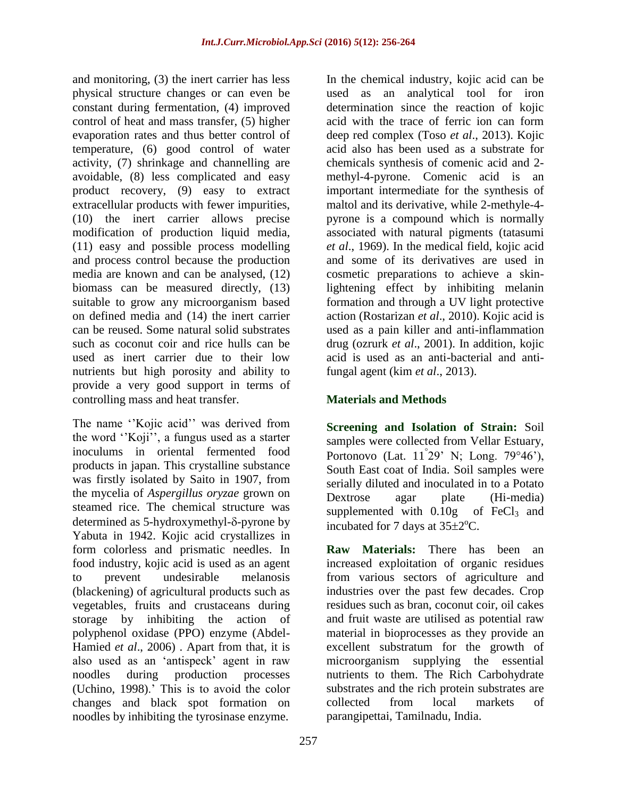and monitoring, (3) the inert carrier has less physical structure changes or can even be constant during fermentation, (4) improved control of heat and mass transfer, (5) higher evaporation rates and thus better control of temperature, (6) good control of water activity, (7) shrinkage and channelling are avoidable, (8) less complicated and easy product recovery, (9) easy to extract extracellular products with fewer impurities, (10) the inert carrier allows precise modification of production liquid media, (11) easy and possible process modelling and process control because the production media are known and can be analysed, (12) biomass can be measured directly, (13) suitable to grow any microorganism based on defined media and (14) the inert carrier can be reused. Some natural solid substrates such as coconut coir and rice hulls can be used as inert carrier due to their low nutrients but high porosity and ability to provide a very good support in terms of controlling mass and heat transfer.

The name "Kojic acid" was derived from the word "Koji", a fungus used as a starter inoculums in oriental fermented food products in japan. This crystalline substance was firstly isolated by Saito in 1907, from the mycelia of *Aspergillus oryzae* grown on steamed rice. The chemical structure was determined as  $5$ -hydroxymethyl- $\delta$ -pyrone by Yabuta in 1942. Kojic acid crystallizes in form colorless and prismatic needles. In food industry, kojic acid is used as an agent to prevent undesirable melanosis (blackening) of agricultural products such as vegetables, fruits and crustaceans during storage by inhibiting the action of polyphenol oxidase (PPO) enzyme (Abdel-Hamied *et al*., 2006) . Apart from that, it is also used as an "antispeck" agent in raw noodles during production processes (Uchino, 1998).' This is to avoid the color changes and black spot formation on noodles by inhibiting the tyrosinase enzyme.

In the chemical industry, kojic acid can be used as an analytical tool for iron determination since the reaction of kojic acid with the trace of ferric ion can form deep red complex (Toso *et al*., 2013). Kojic acid also has been used as a substrate for chemicals synthesis of comenic acid and 2 methyl-4-pyrone. Comenic acid is an important intermediate for the synthesis of maltol and its derivative, while 2-methyle-4 pyrone is a compound which is normally associated with natural pigments (tatasumi *et al*., 1969). In the medical field, kojic acid and some of its derivatives are used in cosmetic preparations to achieve a skinlightening effect by inhibiting melanin formation and through a UV light protective action (Rostarizan *et al*., 2010). Kojic acid is used as a pain killer and anti-inflammation drug (ozrurk *et al*., 2001). In addition, kojic acid is used as an anti-bacterial and antifungal agent (kim *et al*., 2013).

# **Materials and Methods**

**Screening and Isolation of Strain:** Soil samples were collected from Vellar Estuary, Portonovo (Lat.  $11^{\degree}29'$  N; Long.  $79^{\degree}46'$ ), South East coat of India. Soil samples were serially diluted and inoculated in to a Potato Dextrose agar plate (Hi-media) supplemented with  $0.10g$  of FeCl<sub>3</sub> and incubated for 7 days at  $35\pm2$ <sup>o</sup>C.

**Raw Materials:** There has been an increased exploitation of organic residues from various sectors of agriculture and industries over the past few decades. Crop residues such as bran, coconut coir, oil cakes and fruit waste are utilised as potential raw material in bioprocesses as they provide an excellent substratum for the growth of microorganism supplying the essential nutrients to them. The Rich Carbohydrate substrates and the rich protein substrates are collected from local markets of parangipettai, Tamilnadu, India.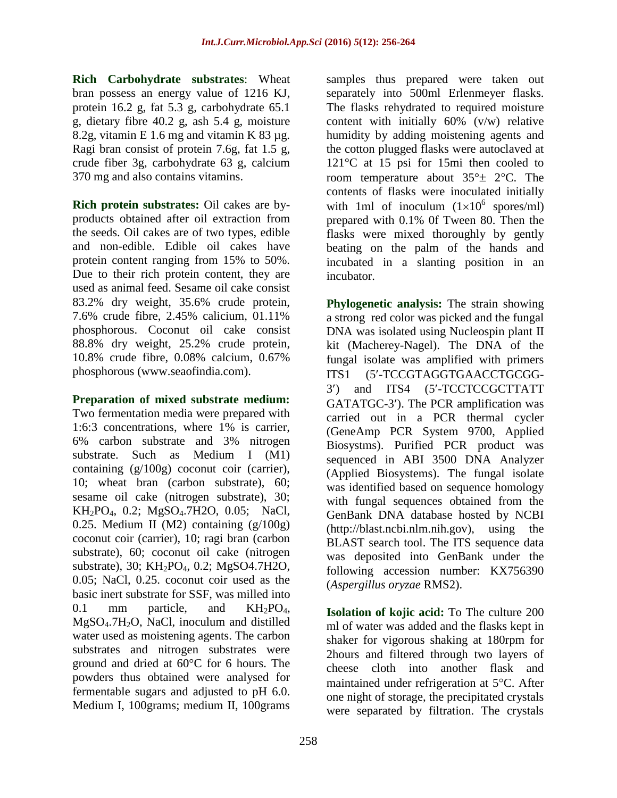**Rich Carbohydrate substrates**: Wheat bran possess an energy value of 1216 KJ, protein 16.2 g, fat 5.3 g, carbohydrate 65.1 g, dietary fibre 40.2 g, ash 5.4 g, moisture 8.2g, vitamin E 1.6 mg and vitamin K 83  $\mu$ g. Ragi bran consist of protein 7.6g, fat 1.5 g, crude fiber 3g, carbohydrate 63 g, calcium 370 mg and also contains vitamins.

**Rich protein substrates:** Oil cakes are byproducts obtained after oil extraction from the seeds. Oil cakes are of two types, edible and non-edible. Edible oil cakes have protein content ranging from 15% to 50%. Due to their rich protein content, they are used as animal feed. Sesame oil cake consist 83.2% dry weight, 35.6% crude protein, 7.6% crude fibre, 2.45% calicium, 01.11% phosphorous. Coconut oil cake consist 88.8% dry weight, 25.2% crude protein, 10.8% crude fibre, 0.08% calcium, 0.67% phosphorous [\(www.seaofindia.com\)](http://www.seaofindia.com/).

## **Preparation of mixed substrate medium:**

Two fermentation media were prepared with 1:6:3 concentrations, where 1% is carrier, 6% carbon substrate and 3% nitrogen substrate. Such as Medium I (M1) containing (g/100g) coconut coir (carrier), 10; wheat bran (carbon substrate), 60; sesame oil cake (nitrogen substrate), 30; KH2PO4, 0.2; MgSO4.7H2O, 0.05; NaCl, 0.25. Medium II (M2) containing (g/100g) coconut coir (carrier), 10; ragi bran (carbon substrate), 60; coconut oil cake (nitrogen substrate), 30; KH<sub>2</sub>PO<sub>4</sub>, 0.2; MgSO4.7H2O, 0.05; NaCl, 0.25. coconut coir used as the basic inert substrate for SSF, was milled into 0.1 mm particle, and  $KH_2PO_4$ , MgSO4.7H2O, NaCl, inoculum and distilled water used as moistening agents. The carbon substrates and nitrogen substrates were ground and dried at 60°C for 6 hours. The powders thus obtained were analysed for fermentable sugars and adjusted to pH 6.0. Medium I, 100grams; medium II, 100grams

samples thus prepared were taken out separately into 500ml Erlenmeyer flasks. The flasks rehydrated to required moisture content with initially 60% (v/w) relative humidity by adding moistening agents and the cotton plugged flasks were autoclaved at 121°C at 15 psi for 15mi then cooled to room temperature about  $35^\circ \pm 2^\circ \text{C}$ . The contents of flasks were inoculated initially with 1ml of inoculum  $(1 \times 10^6 \text{ spores/ml})$ prepared with 0.1% 0f Tween 80. Then the flasks were mixed thoroughly by gently beating on the palm of the hands and incubated in a slanting position in an incubator.

**Phylogenetic analysis:** The strain showing a strong red color was picked and the fungal DNA was isolated using Nucleospin plant II kit (Macherey-Nagel). The DNA of the fungal isolate was amplified with primers ITS1 (5'-TCCGTAGGTGAACCTGCGG-3) and ITS4 (5-TCCTCCGCTTATT GATATGC-3). The PCR amplification was carried out in a PCR thermal cycler (GeneAmp PCR System 9700, Applied Biosystms). Purified PCR product was sequenced in ABI 3500 DNA Analyzer (Applied Biosystems). The fungal isolate was identified based on sequence homology with fungal sequences obtained from the GenBank DNA database hosted by NCBI (http://blast.ncbi.nlm.nih.gov), using the BLAST search tool. The ITS sequence data was deposited into GenBank under the following accession number: KX756390 (*Aspergillus oryzae* RMS2).

**Isolation of kojic acid:** To The culture 200 ml of water was added and the flasks kept in shaker for vigorous shaking at 180rpm for 2hours and filtered through two layers of cheese cloth into another flask and maintained under refrigeration at  $5^{\circ}$ C. After one night of storage, the precipitated crystals were separated by filtration. The crystals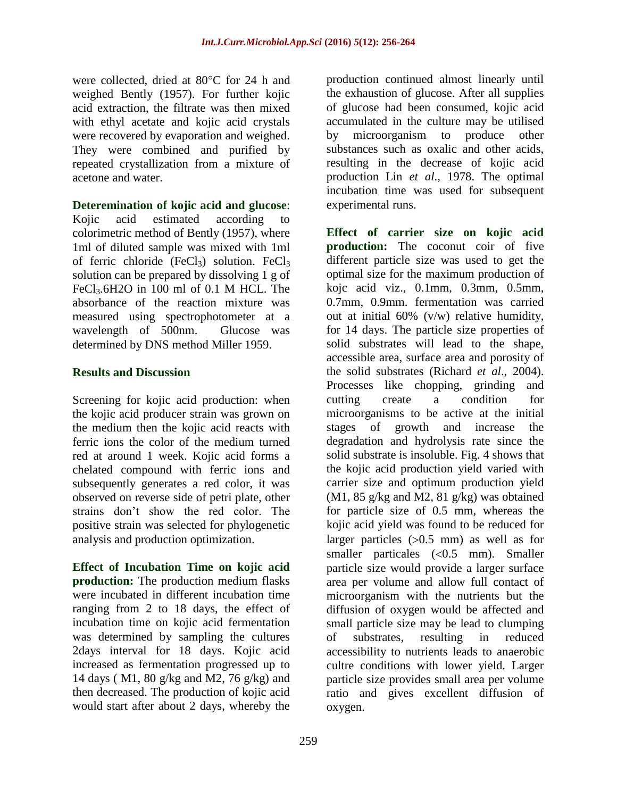were collected, dried at  $80^{\circ}$ C for 24 h and weighed Bently (1957). For further kojic acid extraction, the filtrate was then mixed with ethyl acetate and kojic acid crystals were recovered by evaporation and weighed. They were combined and purified by repeated crystallization from a mixture of acetone and water.

#### **Deteremination of kojic acid and glucose**:

Kojic acid estimated according to colorimetric method of Bently (1957), where 1ml of diluted sample was mixed with 1ml of ferric chloride (FeCl<sub>3</sub>) solution. FeCl<sub>3</sub> solution can be prepared by dissolving 1 g of FeCl3.6H2O in 100 ml of 0.1 M HCL. The absorbance of the reaction mixture was measured using spectrophotometer at a wavelength of 500nm. Glucose was determined by DNS method Miller 1959.

#### **Results and Discussion**

Screening for kojic acid production: when the kojic acid producer strain was grown on the medium then the kojic acid reacts with ferric ions the color of the medium turned red at around 1 week. Kojic acid forms a chelated compound with ferric ions and subsequently generates a red color, it was observed on reverse side of petri plate, other strains don"t show the red color. The positive strain was selected for phylogenetic analysis and production optimization.

**Effect of Incubation Time on kojic acid production:** The production medium flasks were incubated in different incubation time ranging from 2 to 18 days, the effect of incubation time on kojic acid fermentation was determined by sampling the cultures 2days interval for 18 days. Kojic acid increased as fermentation progressed up to 14 days ( M1, 80 g/kg and M2, 76 g/kg) and then decreased. The production of kojic acid would start after about 2 days, whereby the

production continued almost linearly until the exhaustion of glucose. After all supplies of glucose had been consumed, kojic acid accumulated in the culture may be utilised by microorganism to produce other substances such as oxalic and other acids, resulting in the decrease of kojic acid production Lin *et al*., 1978. The optimal incubation time was used for subsequent experimental runs.

**Effect of carrier size on kojic acid production:** The coconut coir of five different particle size was used to get the optimal size for the maximum production of kojc acid viz., 0.1mm, 0.3mm, 0.5mm, 0.7mm, 0.9mm. fermentation was carried out at initial 60% (v/w) relative humidity, for 14 days. The particle size properties of solid substrates will lead to the shape, accessible area, surface area and porosity of the solid substrates (Richard *et al*., 2004). Processes like chopping, grinding and cutting create a condition for microorganisms to be active at the initial stages of growth and increase the degradation and hydrolysis rate since the solid substrate is insoluble. Fig. 4 shows that the kojic acid production yield varied with carrier size and optimum production yield (M1, 85 g/kg and M2, 81 g/kg) was obtained for particle size of 0.5 mm, whereas the kojic acid yield was found to be reduced for larger particles  $(0.5 \text{ mm})$  as well as for smaller particales  $( $0.5 \text{ mm}$ ). Smaller$ particle size would provide a larger surface area per volume and allow full contact of microorganism with the nutrients but the diffusion of oxygen would be affected and small particle size may be lead to clumping of substrates, resulting in reduced accessibility to nutrients leads to anaerobic cultre conditions with lower yield. Larger particle size provides small area per volume ratio and gives excellent diffusion of oxygen.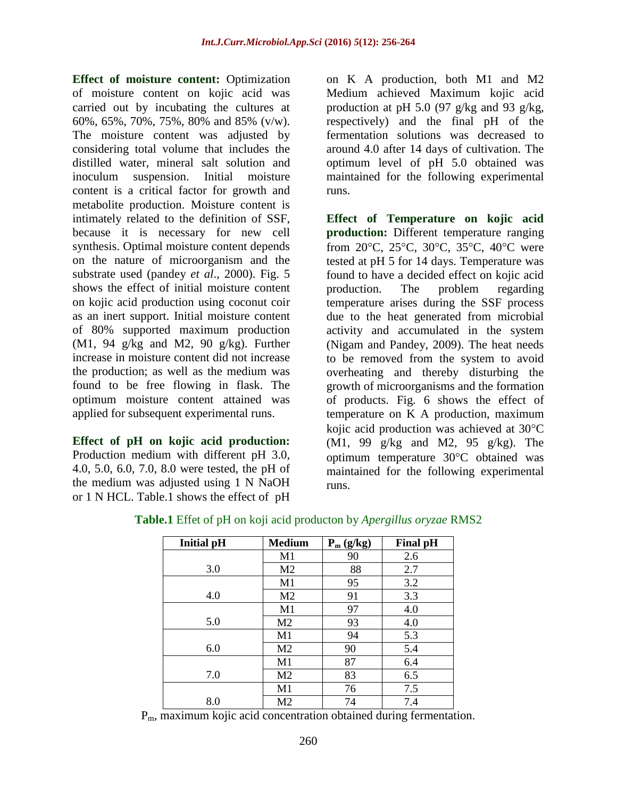**Effect of moisture content:** Optimization of moisture content on kojic acid was carried out by incubating the cultures at 60%, 65%, 70%, 75%, 80% and 85% (v/w). The moisture content was adjusted by considering total volume that includes the distilled water, mineral salt solution and inoculum suspension. Initial moisture content is a critical factor for growth and metabolite production. Moisture content is intimately related to the definition of SSF, because it is necessary for new cell synthesis. Optimal moisture content depends on the nature of microorganism and the substrate used (pandey *et al*., 2000). Fig. 5 shows the effect of initial moisture content on kojic acid production using coconut coir as an inert support. Initial moisture content of 80% supported maximum production  $(M1, 94 \text{ g/kg}$  and M2, 90 g/kg). Further increase in moisture content did not increase the production; as well as the medium was found to be free flowing in flask. The optimum moisture content attained was applied for subsequent experimental runs.

**Effect of pH on kojic acid production:**  Production medium with different pH 3.0, 4.0, 5.0, 6.0, 7.0, 8.0 were tested, the pH of the medium was adjusted using 1 N NaOH or 1 N HCL. Table.1 shows the effect of pH

on K A production, both M1 and M2 Medium achieved Maximum kojic acid production at pH 5.0 (97 g/kg and 93 g/kg, respectively) and the final pH of the fermentation solutions was decreased to around 4.0 after 14 days of cultivation. The optimum level of pH 5.0 obtained was maintained for the following experimental runs.

**Effect of Temperature on kojic acid production:** Different temperature ranging from  $20^{\circ}$ C,  $25^{\circ}$ C,  $30^{\circ}$ C,  $35^{\circ}$ C,  $40^{\circ}$ C were tested at pH 5 for 14 days. Temperature was found to have a decided effect on kojic acid production. The problem regarding temperature arises during the SSF process due to the heat generated from microbial activity and accumulated in the system (Nigam and Pandey, 2009). The heat needs to be removed from the system to avoid overheating and thereby disturbing the growth of microorganisms and the formation of products. Fig. 6 shows the effect of temperature on K A production, maximum kojic acid production was achieved at  $30^{\circ}$ C (M1, 99 g/kg and M2, 95 g/kg). The optimum temperature  $30^{\circ}$ C obtained was maintained for the following experimental runs.

| <b>Initial pH</b> | <b>Medium</b>  | $P_m$ (g/kg) | <b>Final pH</b> |
|-------------------|----------------|--------------|-----------------|
|                   | M1             | 90           | 2.6             |
| 3.0               | M <sub>2</sub> | 88           | 2.7             |
|                   | M1             | 95           | 3.2             |
| 4.0               | M <sub>2</sub> | 91           | 3.3             |
|                   | M1             | 97           | 4.0             |
| 5.0               | M2             | 93           | 4.0             |
|                   | M1             | 94           | 5.3             |
| 6.0               | M2             | 90           | 5.4             |
|                   | M1             | 87           | 6.4             |
| 7.0               | M <sub>2</sub> | 83           | 6.5             |
|                   | M1             | 76           | 7.5             |
| 8.0               | M <sub>2</sub> | 74           | 7.4             |

**Table.1** Effet of pH on koji acid producton by *Apergillus oryzae* RMS2

Pm, maximum kojic acid concentration obtained during fermentation.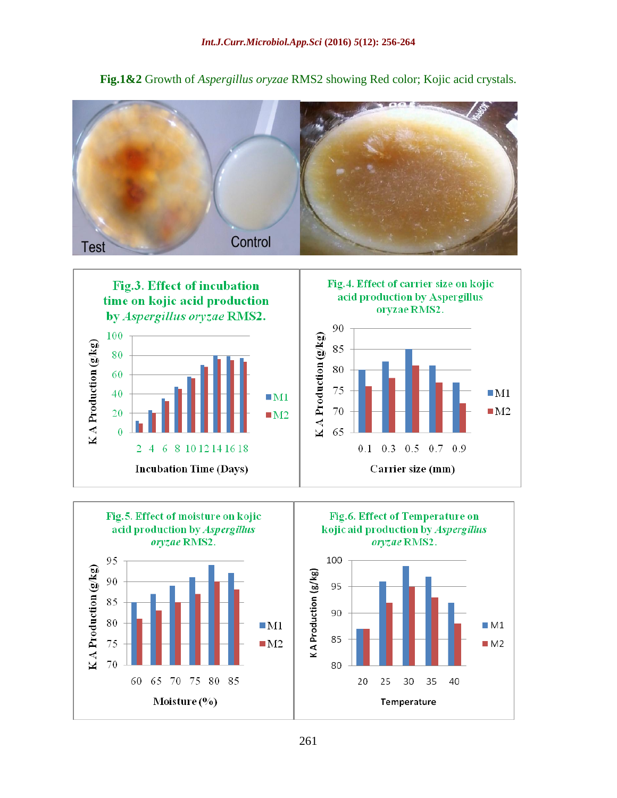**Fig.1&2** Growth of *Aspergillus oryzae* RMS2 showing Red color; Kojic acid crystals.









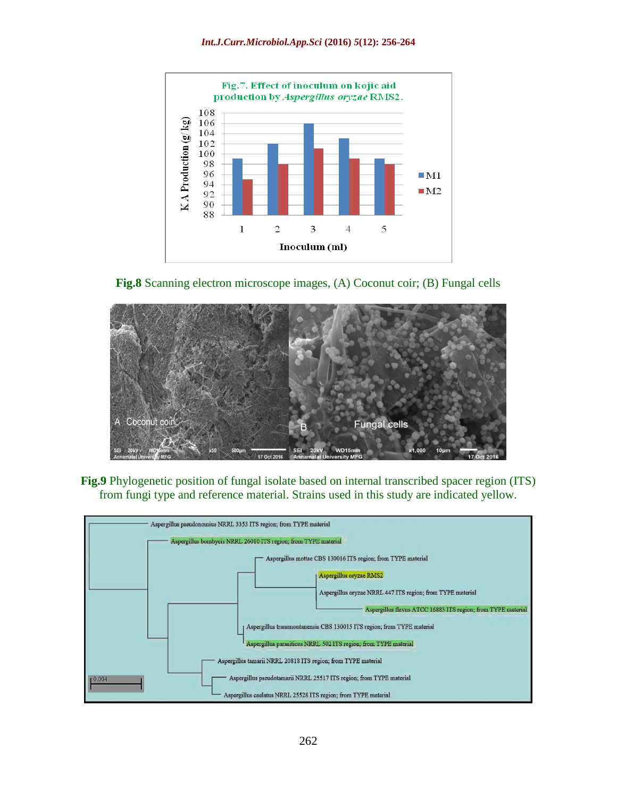





**Fig.9** Phylogenetic position of fungal isolate based on internal transcribed spacer region (ITS) from fungi type and reference material. Strains used in this study are indicated yellow.

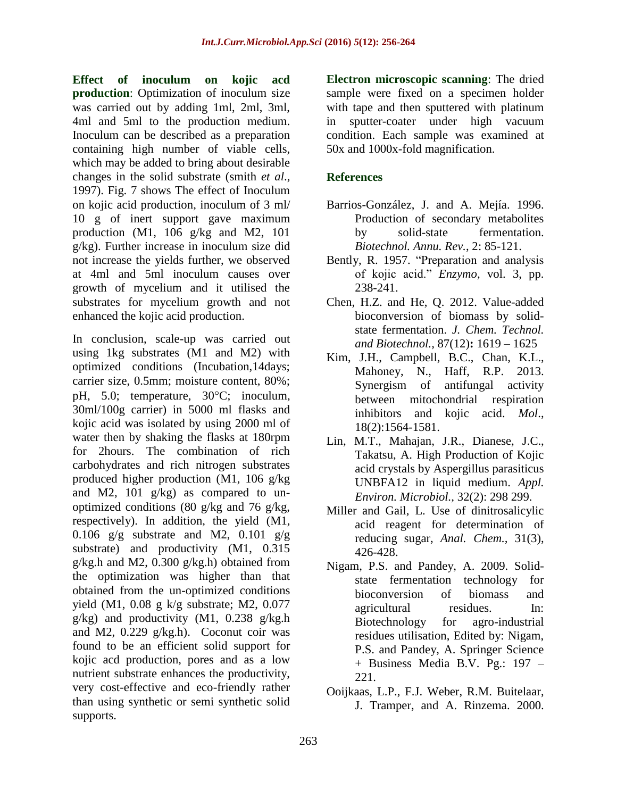**Effect of inoculum on kojic acd production**: Optimization of inoculum size was carried out by adding 1ml, 2ml, 3ml, 4ml and 5ml to the production medium. Inoculum can be described as a preparation containing high number of viable cells, which may be added to bring about desirable changes in the solid substrate (smith *et al*., 1997). Fig. 7 shows The effect of Inoculum on kojic acid production, inoculum of 3 ml/ 10 g of inert support gave maximum production (M1, 106 g/kg and M2, 101 g/kg). Further increase in inoculum size did not increase the yields further, we observed at 4ml and 5ml inoculum causes over growth of mycelium and it utilised the substrates for mycelium growth and not enhanced the kojic acid production.

In conclusion, scale-up was carried out using 1kg substrates (M1 and M2) with optimized conditions (Incubation,14days; carrier size, 0.5mm; moisture content, 80%; pH, 5.0; temperature, 30°C; inoculum, 30ml/100g carrier) in 5000 ml flasks and kojic acid was isolated by using 2000 ml of water then by shaking the flasks at 180rpm for 2hours. The combination of rich carbohydrates and rich nitrogen substrates produced higher production (M1, 106 g/kg and M2, 101 g/kg) as compared to unoptimized conditions (80 g/kg and 76 g/kg, respectively). In addition, the yield (M1, 0.106  $g/g$  substrate and M2, 0.101  $g/g$ substrate) and productivity (M1, 0.315) g/kg.h and M2, 0.300 g/kg.h) obtained from the optimization was higher than that obtained from the un-optimized conditions yield (M1, 0.08 g k/g substrate; M2, 0.077 g/kg) and productivity (M1, 0.238 g/kg.h and M2, 0.229 g/kg.h). Coconut coir was found to be an efficient solid support for kojic acd production, pores and as a low nutrient substrate enhances the productivity, very cost-effective and eco-friendly rather than using synthetic or semi synthetic solid supports.

**Electron microscopic scanning**: The dried sample were fixed on a specimen holder with tape and then sputtered with platinum in sputter-coater under high vacuum condition. Each sample was examined at 50x and 1000x-fold magnification.

## **References**

- Barrios-González, J. and A. Mejía. 1996. Production of secondary metabolites by solid-state fermentation. *Biotechnol. Annu. Rev.*, 2: 85-121.
- Bently, R. 1957. "Preparation and analysis of kojic acid." *Enzymo,* vol. 3, pp. 238-241.
- Chen, H.Z. and He, Q. 2012. Value-added bioconversion of biomass by solidstate fermentation. *J. Chem. Technol. and Biotechnol.,* 87(12)**:** 1619 – 1625
- Kim, J.H., Campbell, B.C., Chan, K.L., Mahoney, N., Haff, R.P. 2013. Synergism of antifungal activity between mitochondrial respiration inhibitors and kojic acid. *Mol*., 18(2):1564-1581.
- Lin, M.T., Mahajan, J.R., Dianese, J.C., Takatsu, A. High Production of Kojic acid crystals by Aspergillus parasiticus UNBFA12 in liquid medium. *Appl. Environ. Microbiol.,* 32(2): 298 299.
- Miller and Gail, L. Use of dinitrosalicylic acid reagent for determination of reducing sugar, *Anal. Chem.,* 31(3), 426-428.
- Nigam, P.S. and Pandey, A. 2009. Solidstate fermentation technology for bioconversion of biomass and agricultural residues. In: Biotechnology for agro-industrial residues utilisation, Edited by: Nigam, P.S. and Pandey, A. Springer Science + Business Media B.V. Pg.: 197 – 221.
- Ooijkaas, L.P., F.J. Weber, R.M. Buitelaar, J. Tramper, and A. Rinzema. 2000.